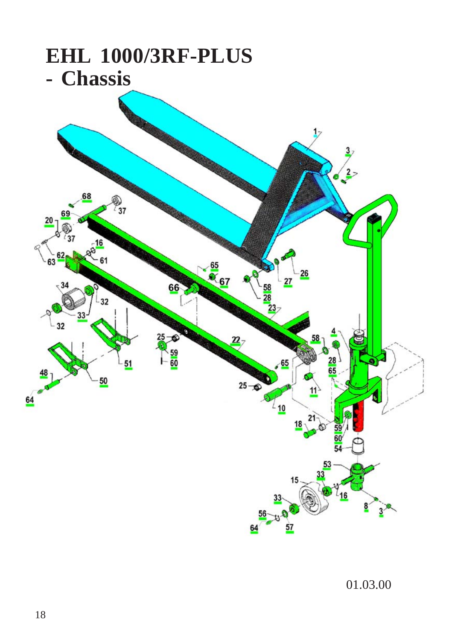

01.03.00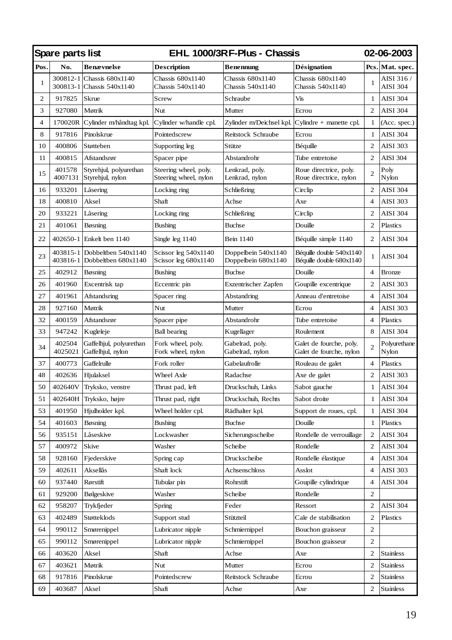| Spare parts list |                      |                                              | EHL 1000/3RF-Plus - Chassis                    |                                            |                                                      | <b>02-06-2003</b> |                        |  |
|------------------|----------------------|----------------------------------------------|------------------------------------------------|--------------------------------------------|------------------------------------------------------|-------------------|------------------------|--|
| Pos.             | No.                  | <b>Benævnelse</b>                            | <b>Description</b>                             | Benennung                                  | Désignation                                          |                   | Pcs. Mat. spec.        |  |
| 1                | 300812-1<br>300813-1 | Chassis 680x1140<br>Chassis 540x1140         | Chassis 680x1140<br>Chassis 540x1140           | Chassis 680x1140<br>Chassis 540x1140       | Chassis 680x1140<br>Chassis 540x1140                 | 1                 | AISI 316 /<br>AISI 304 |  |
| $\overline{c}$   | 917825               | Skrue                                        | Screw                                          | Schraube                                   | Vis                                                  | 1                 | <b>AISI 304</b>        |  |
| 3                | 927080               | Møtrik                                       | Nut                                            | Mutter                                     | Ecrou                                                | $\overline{c}$    | <b>AISI 304</b>        |  |
| $\overline{4}$   | 170020R              | Cylinder m/håndtag kpl.                      | Cylinder w/handle cpl.                         | Zylinder m/Deichsel kpl.                   | $Cylinder + ma$ nette cpl.                           | $\mathbf{1}$      | (Acc. spec.)           |  |
| 8                | 917816               | Pinolskrue                                   | Pointedscrew                                   | Reitstock Schraube                         | Ecrou                                                | $\mathbf{1}$      | <b>AISI 304</b>        |  |
| 10               | 400806               | Støtteben                                    | Supporting leg                                 | Stütze                                     | Béquille                                             | $\mathcal{D}$     | AISI 303               |  |
| 11               | 400815               | Afstandsrør                                  | Spacer pipe                                    | Abstandrohr                                | Tube entretoise                                      | 2                 | AISI 304               |  |
| 15               | 401578<br>4007131    | Styrehjul, polyurethan<br>Styrehjul, nylon   | Steering wheel, poly.<br>Steering wheel, nylon | Lenkrad, poly.<br>Lenkrad, nylon           | Roue directrice, poly.<br>Roue directrice, nylon     | 2                 | Poly<br>Nylon          |  |
| 16               | 933201               | Låsering                                     | Locking ring                                   | Schließring                                | Circlip                                              | $\overline{c}$    | <b>AISI 304</b>        |  |
| 18               | 400810               | Aksel                                        | Shaft                                          | Achse                                      | Axe                                                  | $\overline{4}$    | AISI 303               |  |
| 20               | 933221               | Låsering                                     | Locking ring                                   | Schließring                                | Circlip                                              | 2                 | AISI 304               |  |
| 21               | 401061               | Bøsning                                      | Bushing                                        | <b>Buchse</b>                              | Douille                                              | $\overline{c}$    | Plastics               |  |
| 22               | 402650-1             | Enkelt ben 1140                              | Single leg 1140                                | Bein 1140                                  | Béquille simple 1140                                 | 2                 | AISI 304               |  |
| 23               | 403815-1<br>403816-1 | Dobbeltben 540x1140<br>Dobbeltben 680x1140   | Scissor leg 540x1140<br>Scissor leg 680x1140   | Doppelbein 540x1140<br>Doppelbein 680x1140 | Béquille double 540x1140<br>Béquille double 680x1140 | 1                 | AISI 304               |  |
| 25               | 402912               | Bøsning                                      | <b>Bushing</b>                                 | <b>Buchse</b>                              | Douille                                              | 4                 | <b>Bronze</b>          |  |
| 26               | 401960               | Excentrisk tap                               | Eccentric pin                                  | Exzentrischer Zapfen                       | Goupille excentrique                                 | 2                 | AISI 303               |  |
| 27               | 401961               | Afstandsring                                 | Spacer ring                                    | Abstandring                                | Anneau d'entretoise                                  | $\overline{4}$    | AISI 304               |  |
| 28               | 927160               | Møtrik                                       | Nut                                            | Mutter                                     | Ecrou                                                | $\overline{4}$    | AISI 303               |  |
| 32               | 400159               | Afstandsrør                                  | Spacer pipe                                    | Abstandrohr                                | Tube entretoise                                      | 4                 | Plastics               |  |
| 33               | 947242               | Kugleleje                                    | <b>Ball</b> bearing                            | Kugellager                                 | Roulement                                            | 8                 | <b>AISI 304</b>        |  |
| 34               | 402504<br>4025021    | Gaffelhjul, polyurethan<br>Gaffelhjul, nylon | Fork wheel, poly.<br>Fork wheel, nylon         | Gabelrad, poly.<br>Gabelrad, nylon         | Galet de fourche, poly.<br>Galet de fourche, nylon   | $\overline{c}$    | Polyurethane<br>Nylon  |  |
| 37               | 400773               | Gaffelrulle                                  | Fork roller                                    | Gabelaufrolle                              | Rouleau de galet                                     | 4                 | Plastics               |  |
| 48               | 402636               | Hjulaksel                                    | Wheel Axle                                     | Radachse                                   | Axe de galet                                         | 2                 | AISI 303               |  |
| 50               | 402640V              | Tryksko, venstre                             | Thrust pad, left                               | Druckschuh, Links                          | Sabot gauche                                         | 1                 | <b>AISI 304</b>        |  |
| 51               | 402640H              | Tryksko, højre                               | Thrust pad, right                              | Druckschuh, Rechts                         | Sabot droite                                         | $\mathbf{1}$      | AISI 304               |  |
| 53               | 401950               | Hjulholder kpl.                              | Wheel holder cpl.                              | Rädhalter kpl.                             | Support de roues, cpl.                               | $\mathbf{1}$      | AISI 304               |  |
| 54               | 401603               | Bøsning                                      | <b>Bushing</b>                                 | <b>Buchse</b>                              | Douille                                              | 1                 | Plastics               |  |
| 56               | 935151               | Låseskive                                    | Lockwasher                                     | Sicherungsscheibe                          | Rondelle de verrouillage                             | 2                 | AISI 304               |  |
| 57               | 400972               | Skive                                        | Washer                                         | Scheibe                                    | Rondelle                                             | $\overline{c}$    | AISI 304               |  |
| 58               | 928160               | Fjederskive                                  | Spring cap                                     | Druckscheibe                               | Rondelle élastique                                   | 4                 | AISI 304               |  |
| 59               | 402611               | Aksellås                                     | Shaft lock                                     | Achsenschloss                              | Asslot                                               | $\overline{4}$    | AISI 303               |  |
| 60               | 937440               | Rørstift                                     | Tubular pin                                    | Rohrstift                                  | Goupille cylindrique                                 | 4                 | AISI 304               |  |
| 61               | 929200               | Bølgeskive                                   | Washer                                         | Scheibe                                    | Rondelle                                             | $\overline{c}$    |                        |  |
| 62               | 958207               | Trykfjeder                                   | Spring                                         | Feder                                      | Ressort                                              | $\overline{c}$    | AISI 304               |  |
| 63               | 402489               | Støtteklods                                  | Support stud                                   | Stützteil                                  | Cale de stabilisation                                | $\overline{c}$    | Plastics               |  |
| 64               | 990112               | Smørenippel                                  | Lubricator nipple                              | Schmiernippel                              | Bouchon graisseur                                    | $\overline{c}$    |                        |  |
| 65               | 990112               | Smørenippel                                  | Lubricator nipple                              | Schmiernippel                              | Bouchon graisseur                                    | 2                 |                        |  |
| 66               | 403620               | Aksel                                        | Shaft                                          | Achse                                      | Axe                                                  | 2                 | Stainless              |  |
| 67               | 403621               | Møtrik                                       | Nut                                            | Mutter                                     | Ecrou                                                | $\overline{c}$    | <b>Stainless</b>       |  |
| 68               | 917816               | Pinolskrue                                   | Pointedscrew                                   | Reitstock Schraube                         | Ecrou                                                | 2                 | Stainless              |  |
| 69               | 403687               | Aksel                                        | Shaft                                          | Achse                                      | Axe                                                  | $\overline{c}$    | <b>Stainless</b>       |  |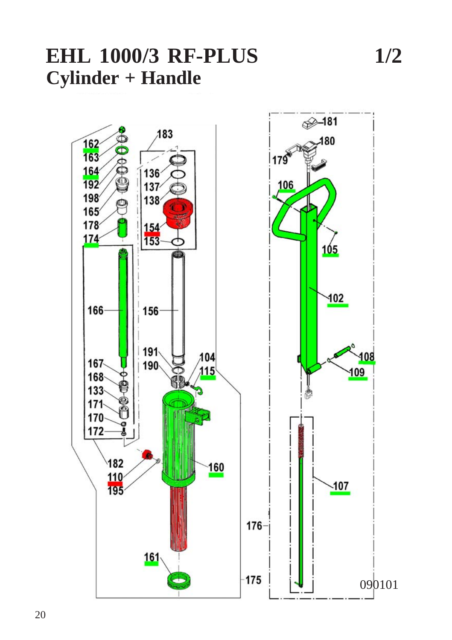

20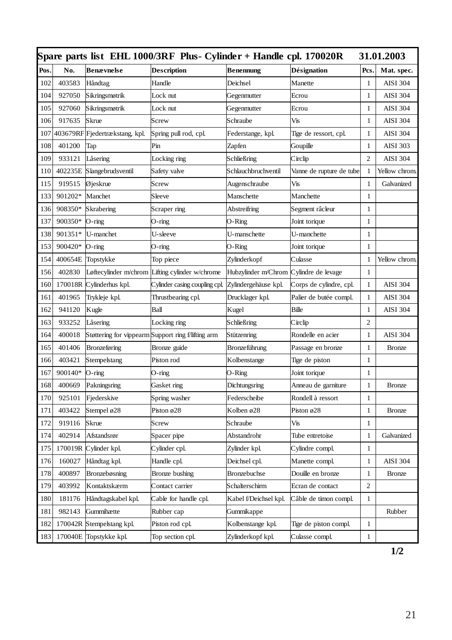| Spare parts list EHL 1000/3RF Plus- Cylinder + Handle cpl. 170020R<br>31.01.2003 |         |                                |                                                    |                       |                          |                |                 |
|----------------------------------------------------------------------------------|---------|--------------------------------|----------------------------------------------------|-----------------------|--------------------------|----------------|-----------------|
| Pos                                                                              | No.     | Benævnelse                     | <b>Description</b>                                 | Benennung             | Désignation              | Pcs.           | Mat. spec.      |
| 102                                                                              | 403583  | Håndtag                        | Handle                                             | Deichsel              | Manette                  | 1              | <b>AISI 304</b> |
| 104                                                                              | 927050  | Sikringsmøtrik                 | Lock nut                                           | Gegenmutter           | Ecrou                    | 1              | <b>AISI 304</b> |
| 105                                                                              | 927060  | Sikringsmøtrik                 | Lock nut                                           | Gegenmutter           | Ecrou                    | 1              | <b>AISI 304</b> |
| 106                                                                              | 917635  | Skrue                          | Screw                                              | Schraube              | Vis                      | 1              | <b>AISI 304</b> |
| 107                                                                              |         | 403679RF Fjedertrækstang, kpl. | Spring pull rod, cpl.                              | Federstange, kpl.     | Tige de ressort, cpl.    | $\mathbf{1}$   | <b>AISI 304</b> |
| 108                                                                              | 401200  | Tap                            | Pin                                                | Zapfen                | Goupille                 | $\mathbf{1}$   | <b>AISI 303</b> |
| 109                                                                              | 933121  | Låsering                       | Locking ring                                       | Schließring           | Circlip                  | 2              | <b>AISI 304</b> |
| 110                                                                              | 402235E | Slangebrudsventil              | Safety valve                                       | Schlauchbruchventil   | Vanne de rupture de tube | 1              | Yellow chrom    |
| 115                                                                              | 919515  | Øjeskrue                       | Screw                                              | Augenschraube         | Vis                      | 1              | Galvanized      |
| 133                                                                              | 901202* | Manchet                        | Sleeve                                             | Manschette            | Manchette                | 1              |                 |
| 136                                                                              | 908350* | Skrabering                     | Scraper ring                                       | Abstreifring          | Segment râcleur          | $\mathbf{1}$   |                 |
| 137                                                                              | 900350* | O-ring                         | O-ring                                             | O-Ring                | Joint torique            | $\mathbf{1}$   |                 |
| 138                                                                              | 901351* | U-manchet                      | U-sleeve                                           | U-manschette          | U-manchette              | 1              |                 |
| 153                                                                              | 900420* | O-ring                         | O-ring                                             | O-Ring                | Joint torique            | 1              |                 |
| 154                                                                              | 400654E | Topstykke                      | Top piece                                          | Zylinderkopf          | Culasse                  | 1              | Yellow chrom    |
| 156                                                                              | 402830  |                                | Løftecylinder m/chrom Lifting cylinder w/chrome    | Hubzylinder m/Chrom   | Cylindre de levage       | $\mathbf{1}$   |                 |
| 160                                                                              | 170018R | Cylinderhus kpl.               | Cylinder casing coupling cpl.                      | Zylindergehäuse kpl.  | Corps de cylindre, cpl.  | $\mathbf{1}$   | <b>AISI 304</b> |
| 161                                                                              | 401965  | Trykleje kpl.                  | Thrustbearing cpl.                                 | Drucklager kpl.       | Palier de butée compl.   | 1              | <b>AISI 304</b> |
| 162                                                                              | 941120  | Kugle                          | Ball                                               | Kugel                 | Bille                    | 1              | <b>AISI 304</b> |
| 163                                                                              | 933252  | Låsering                       | Locking ring                                       | Schließring           | Circlip                  | 2              |                 |
| 164                                                                              | 400018  |                                | Støttering for vippearm Support ring f/lifting arm | Stützenring           | Rondelle en acier        | 1              | <b>AISI 304</b> |
| 165                                                                              | 401406  | Bronzeføring                   | Bronze guide                                       | Bronzeführung         | Passage en bronze        | 1              | <b>Bronze</b>   |
| 166                                                                              | 403421  | Stempelstang                   | Piston rod                                         | Kolbenstange          | Tige de piston           | $\mathbf{1}$   |                 |
| 167                                                                              | 900140* | O-ring                         | O-ring                                             | O-Ring                | Joint torique            | 1              |                 |
| 168                                                                              | 400669  | Pakningsring                   | Gasket ring                                        | Dichtungsring         | Anneau de garniture      | 1              | <b>Bronze</b>   |
| 170                                                                              | 925101  | Fjederskive                    | Spring washer                                      | Federscheibe          | Rondell à ressort        | 1              |                 |
| 171                                                                              | 403422  | Stempel ø28                    | Piston $\varnothing$ 28                            | Kolben ø28            | Piston ø28               | $\mathbf{1}$   | <b>Bronze</b>   |
| 172                                                                              | 919116  | Skrue                          | Screw                                              | Schraube              | Vis                      | 1              |                 |
| 174                                                                              | 402914  | Afstandsrør                    | Spacer pipe                                        | Abstandrohr           | Tube entretoise          | $\mathbf{1}$   | Galvanized      |
| 175                                                                              | 170019R | Cylinder kpl.                  | Cylinder cpl.                                      | Zylinder kpl.         | Cylindre compl.          | 1              |                 |
| 176                                                                              | 160027  | Håndtag kpl.                   | Handle cpl.                                        | Deichsel cpl.         | Manette compl.           | $\mathbf{1}$   | <b>AISI 304</b> |
| 178                                                                              | 400897  | Bronzebøsning                  | Bronze bushing                                     | Bronzebuchse          | Douille en bronze        | 1              | <b>Bronze</b>   |
| 179                                                                              | 403992  | Kontaktskærm                   | Contact carrier                                    | Schalterschirm        | Ecran de contact         | $\overline{c}$ |                 |
| 180                                                                              | 181176  | Håndtagskabel kpl.             | Cable for handle cpl.                              | Kabel f/Deichsel kpl. | Câble de timon compl.    | $\mathbf{1}$   |                 |
| 181                                                                              | 982143  | Gummihætte                     | Rubber cap                                         | Gummikappe            |                          |                | Rubber          |
| 182                                                                              | 170042R | Stempelstang kpl.              | Piston rod cpl.                                    | Kolbenstange kpl.     | Tige de piston compl.    | 1              |                 |
| 183                                                                              |         | 170040E Topstykke kpl.         | Top section cpl.                                   | Zylinderkopf kpl.     | Culasse compl.           | $\mathbf{1}$   |                 |

**1/2**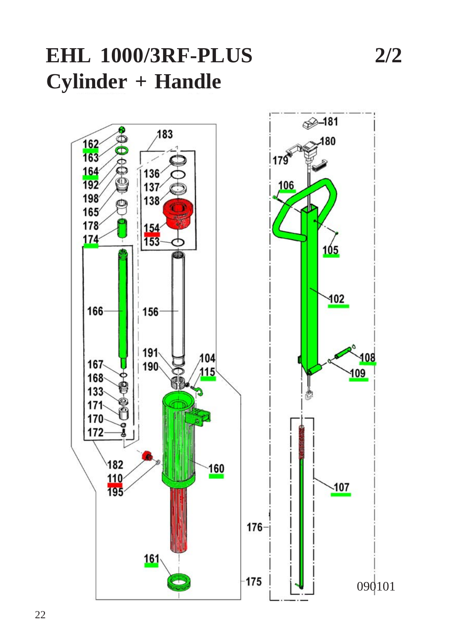# **EHL 1000/3RF-PLUS 2/2 Cylinder + Handle**

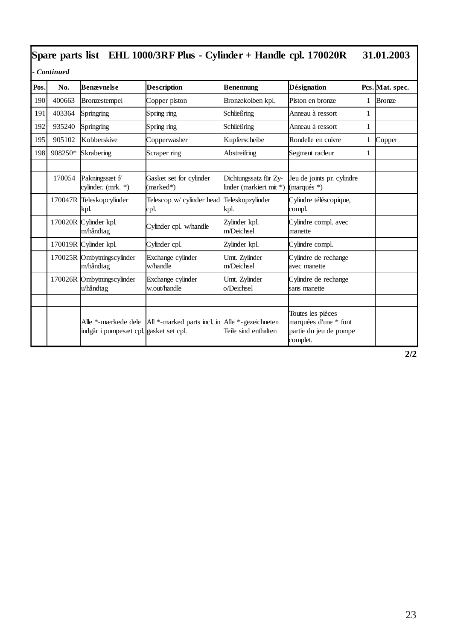| $\beta$ pare parts ust terms for $\beta$ Ne fus - Cymruci + Hanue Cpl. 1/0020N<br>J1,01,200J |                                                                         |                                         |                                                                         |                                                  |                                                                                  |   |               |  |  |
|----------------------------------------------------------------------------------------------|-------------------------------------------------------------------------|-----------------------------------------|-------------------------------------------------------------------------|--------------------------------------------------|----------------------------------------------------------------------------------|---|---------------|--|--|
|                                                                                              | Continued<br>Désignation<br><b>Benævnelse</b><br>Pcs. Mat. spec.<br>No. |                                         |                                                                         |                                                  |                                                                                  |   |               |  |  |
| Pos.                                                                                         |                                                                         |                                         | <b>Description</b>                                                      | <b>Benennung</b>                                 |                                                                                  |   |               |  |  |
| 190                                                                                          | 400663                                                                  | Bronzestempel                           | Copper piston                                                           | Bronzekolben kpl.                                | Piston en bronze                                                                 | 1 | <b>Bronze</b> |  |  |
| 191                                                                                          | 403364                                                                  | Springring                              | Spring ring                                                             | Schließring                                      | Anneau à ressort                                                                 | 1 |               |  |  |
| 192                                                                                          | 935240                                                                  | Springring                              | Spring ring                                                             | Schließring                                      | Anneau à ressort                                                                 | 1 |               |  |  |
| 195                                                                                          | 905102                                                                  | Kobberskive                             | Copperwasher                                                            | Kupferscheibe                                    | Rondelle en cuivre                                                               | 1 | Copper        |  |  |
| 198                                                                                          | 908250*                                                                 | Skrabering                              | Scraper ring                                                            | Abstreifring                                     | Segment racleur                                                                  | 1 |               |  |  |
|                                                                                              |                                                                         |                                         |                                                                         |                                                  |                                                                                  |   |               |  |  |
|                                                                                              | 170054                                                                  | Pakningssæt f/<br>cylinder. (mrk. *)    | Gasket set for cylinder<br>(marked*)                                    | Dichtungssatz für Zy-<br>linder (markiert mit *) | Jeu de joints pr. cylindre<br>(marqués $*$ )                                     |   |               |  |  |
|                                                                                              |                                                                         | 170047R Teleskopcylinder<br>kpl.        | Telescop w/ cylinder head<br>cpl.                                       | Teleskopzylinder<br>kpl.                         | Cylindre téléscopique,<br>compl.                                                 |   |               |  |  |
|                                                                                              |                                                                         | 170020R Cylinder kpl.<br>m/håndtag      | Cylinder cpl. w/handle                                                  | Zylinder kpl.<br>m/Deichsel                      | Cylindre compl. avec<br>manette                                                  |   |               |  |  |
|                                                                                              |                                                                         | 170019R Cylinder kpl.                   | Cylinder cpl.                                                           | Zylinder kpl.                                    | Cylindre compl.                                                                  |   |               |  |  |
|                                                                                              |                                                                         | 170025R Ombytningscylinder<br>m/håndtag | Exchange cylinder<br>w/handle                                           | Umt. Zylinder<br>m/Deichsel                      | Cylindre de rechange<br>avec manette                                             |   |               |  |  |
|                                                                                              |                                                                         | 170026R Ombytningscylinder<br>u/håndtag | Exchange cylinder<br>w.out/handle                                       | Umt. Zylinder<br>o/Deichsel                      | Cylindre de rechange<br>sans manette                                             |   |               |  |  |
|                                                                                              |                                                                         |                                         |                                                                         |                                                  |                                                                                  |   |               |  |  |
|                                                                                              |                                                                         | indgår i pumpesæt cpl. gasket set cpl.  | Alle *-mærkede dele   All *-marked parts incl. in   Alle *-gezeichneten | Teile sind enthalten                             | Toutes les pièces<br>marquées d'une * font<br>partie du jeu de pompe<br>complet. |   |               |  |  |

**2/2**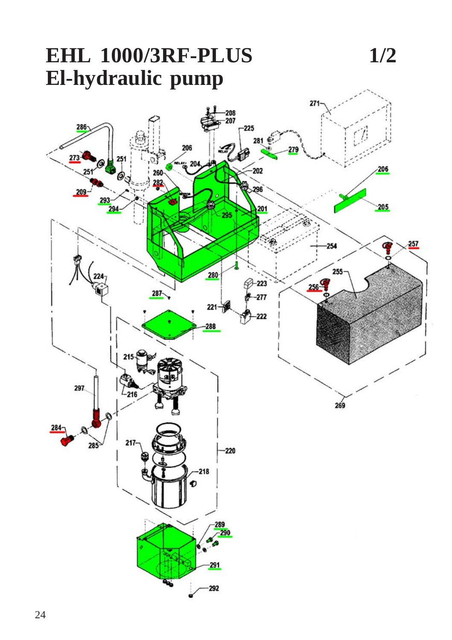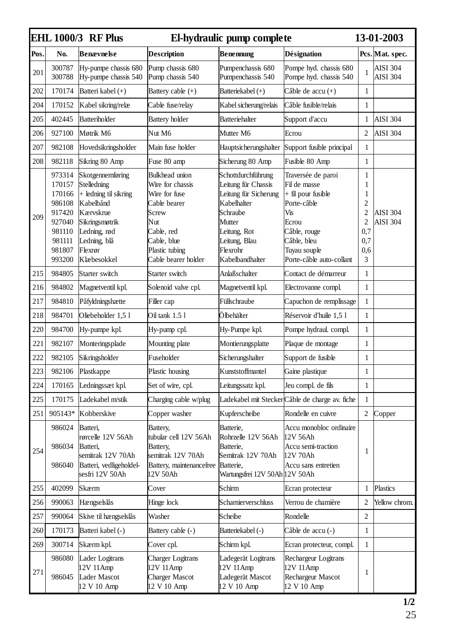|      | <b>EHL 1000/3 RF Plus</b>                                                                        |                                                                                                                                                                | El-hydraulic pump complete                                                                                                                                | 13-01-2003                                                                                                                                                              |                                                                                                                                                                    |                                                                 |                             |
|------|--------------------------------------------------------------------------------------------------|----------------------------------------------------------------------------------------------------------------------------------------------------------------|-----------------------------------------------------------------------------------------------------------------------------------------------------------|-------------------------------------------------------------------------------------------------------------------------------------------------------------------------|--------------------------------------------------------------------------------------------------------------------------------------------------------------------|-----------------------------------------------------------------|-----------------------------|
| Pos. | No.                                                                                              | Benævnelse                                                                                                                                                     | <b>Description</b>                                                                                                                                        | <b>Benennung</b>                                                                                                                                                        | <b>Désignation</b>                                                                                                                                                 |                                                                 | Pcs. Mat. spec.             |
| 201  | 300787<br>300788                                                                                 | Hy-pumpe chassis 680<br>Hy-pumpe chassis 540                                                                                                                   | Pump chassis 680<br>Pump chassis 540                                                                                                                      | Pumpenchassis 680<br>Pumpenchassis 540                                                                                                                                  | Pompe hyd. chassis 680<br>Pompe hyd. chassis 540                                                                                                                   | 1                                                               | AISI 304<br><b>AISI 304</b> |
| 202  | 170174                                                                                           | Batteri kabel (+)                                                                                                                                              | Battery cable (+)                                                                                                                                         | Batteriekabel (+)                                                                                                                                                       | Câble de accu (+)                                                                                                                                                  | $\mathbf{1}$                                                    |                             |
| 204  | 170152                                                                                           | Kabel sikring/relæ                                                                                                                                             | Cable fuse/relay                                                                                                                                          | Kabel sicherung/relais                                                                                                                                                  | Câble fusible/relais                                                                                                                                               | $\mathbf{1}$                                                    |                             |
| 205  | 402445                                                                                           | Batteriholder                                                                                                                                                  | Battery holder                                                                                                                                            | Batteriehalter                                                                                                                                                          | Support d'accu                                                                                                                                                     | 1                                                               | AISI 304                    |
| 206  | 927100                                                                                           | Møtrik M6                                                                                                                                                      | Nut M6                                                                                                                                                    | Mutter M6                                                                                                                                                               | Ecrou                                                                                                                                                              | $\overline{2}$                                                  | AISI 304                    |
| 207  | 982108                                                                                           | Hovedsikringsholder                                                                                                                                            | Main fuse holder                                                                                                                                          | Hauptsicherungshalter                                                                                                                                                   | Support fusible principal                                                                                                                                          | $\mathbf{1}$                                                    |                             |
| 208  | 982118                                                                                           | Sikring 80 Amp                                                                                                                                                 | Fuse 80 amp                                                                                                                                               | Sicherung 80 Amp                                                                                                                                                        | Fusible 80 Amp                                                                                                                                                     | $\mathbf{1}$                                                    |                             |
| 209  | 973314<br>170157<br>170166<br>986108<br>917420<br>927040<br>981110<br>981111<br>981807<br>993200 | Skotgennemføring<br>Stelledning<br>+ ledning til sikring<br>Kabelbånd<br>Kærvskrue<br>Sikringsmøtrik<br>Ledning, rød<br>Ledning, blå<br>Flexror<br>Klæbesokkel | Bulkhead union<br>Wire for chassis<br>Wire for fuse<br>Cable bearer<br>Screw<br>Nut<br>Cable, red<br>Cable, blue<br>Plastic tubing<br>Cable bearer holder | Schottdurchführung<br>Leitung für Chassis<br>Leitung für Sicherung<br>Kabelhalter<br>Schraube<br>Mutter<br>Leitung, Rot<br>Leitung, Blau<br>Flexrohr<br>Kabelbandhalter | Traversée de paroi<br>Fil de masse<br>+ fil pour fusible<br>Porte-câble<br>Vis<br>Ecrou<br>Câble, rouge<br>Câble, bleu<br>Tuyau souple<br>Porte-câble auto-collant | 1<br>1<br>$\mathbf{1}$<br>2<br>2<br>2<br>0,7<br>0,7<br>0,6<br>3 | AISI 304<br>AISI 304        |
| 215  | 984805                                                                                           | Starter switch                                                                                                                                                 | Starter switch                                                                                                                                            | Anlaßschalter                                                                                                                                                           | Contact de démarreur                                                                                                                                               | $\mathbf{1}$                                                    |                             |
| 216  | 984802                                                                                           | Magnetventil kpl.                                                                                                                                              | Solenoid valve cpl.                                                                                                                                       | Magnetventil kpl.                                                                                                                                                       | Electrovanne compl.                                                                                                                                                | $\mathbf{1}$                                                    |                             |
| 217  | 984810                                                                                           | Påfyldningshætte                                                                                                                                               | Filler cap                                                                                                                                                | Füllschraube                                                                                                                                                            | Capuchon de remplissage                                                                                                                                            | 1                                                               |                             |
| 218  | 984701                                                                                           | Oliebeholder 1,5 l                                                                                                                                             | Oil tank 1.5 1                                                                                                                                            | Ölbehälter                                                                                                                                                              | Réservoir d'huile 1,5 l                                                                                                                                            | 1                                                               |                             |
| 220  | 984700                                                                                           | Hy-pumpe kpl.                                                                                                                                                  | Hy-pump cpl.                                                                                                                                              | Hy-Pumpe kpl.                                                                                                                                                           | Pompe hydraul. compl.                                                                                                                                              | 1                                                               |                             |
| 221  | 982107                                                                                           | Monteringsplade                                                                                                                                                | Mounting plate                                                                                                                                            | Montierungsplatte                                                                                                                                                       | Plaque de montage                                                                                                                                                  | 1                                                               |                             |
| 222  | 982105                                                                                           | Sikringsholder                                                                                                                                                 | Fuseholder                                                                                                                                                | Sicherungshalter                                                                                                                                                        | Support de fusible                                                                                                                                                 | 1                                                               |                             |
| 223  | 982106                                                                                           | Plastkappe                                                                                                                                                     | Plastic housing                                                                                                                                           | Kunststoffmantel                                                                                                                                                        | Gaine plastique                                                                                                                                                    | 1                                                               |                             |
| 224  | 170165                                                                                           | Ledningssæt kpl.                                                                                                                                               | Set of wire, cpl.                                                                                                                                         | Leitungssatz kpl.                                                                                                                                                       | Jeu compl. de fils                                                                                                                                                 | 1                                                               |                             |
| 225  | 170175                                                                                           | Ladekabel m/stik                                                                                                                                               | Charging cable w/plug                                                                                                                                     |                                                                                                                                                                         | Ladekabel mit SteckerCâble de charge av. fiche                                                                                                                     | 1                                                               |                             |
| 251  | 905143*                                                                                          | Kobberskive                                                                                                                                                    | Copper washer                                                                                                                                             | Kupferscheibe                                                                                                                                                           | Rondelle en cuivre                                                                                                                                                 | $\overline{2}$                                                  | Copper                      |
| 254  | 986024<br>986034<br>986040                                                                       | Batteri,<br>rørcelle 12V 56Ah<br>Batteri.<br>semitrak 12V 70Ah<br>Batteri, vedligeholdel-<br>sesfri 12V 50Ah                                                   | Battery,<br>tubular cell 12V 56Ah<br>Battery.<br>semitrak 12V 70Ah<br>Battery, maintenancefree<br>12V 50Ah                                                | Batterie,<br>Rohrzelle 12V 56Ah<br>Batterie.<br>Semitrak 12V 70Ah<br>Batterie,<br>Wartungsfrei 12V 50Ah 12V 50Ah                                                        | Accu monobloc ordinaire<br>12V 56Ah<br>Accu semi-traction<br>12V 70Ah<br>Accu sans entretien                                                                       | 1                                                               |                             |
| 255  | 402099                                                                                           | Skærm                                                                                                                                                          | Cover                                                                                                                                                     | Schirm                                                                                                                                                                  | Ecran protecteur                                                                                                                                                   | 1                                                               | Plastics                    |
| 256  | 990063                                                                                           | Hængselslås                                                                                                                                                    | Hinge lock                                                                                                                                                | Scharnierverschluss                                                                                                                                                     | Verrou de charnière                                                                                                                                                | 2                                                               | Yellow chrom.               |
| 257  | 990064                                                                                           | Skive til hængselslås                                                                                                                                          | Washer                                                                                                                                                    | Scheibe                                                                                                                                                                 | Rondelle                                                                                                                                                           | $\overline{c}$                                                  |                             |
| 260  | 170173                                                                                           | Batteri kabel (-)                                                                                                                                              | Battery cable (-)                                                                                                                                         | Batteriekabel (-)                                                                                                                                                       | Câble de accu (-)                                                                                                                                                  | $\mathbf{1}$                                                    |                             |
| 269  | 300714                                                                                           | Skærm kpl.                                                                                                                                                     | Cover cpl.                                                                                                                                                | Schirm kpl.                                                                                                                                                             | Ecran protecteur, compl.                                                                                                                                           | $\mathbf{1}$                                                    |                             |
| 271  | 986080<br>986045                                                                                 | Lader Logitrans<br>12V 11Amp<br>Lader Mascot<br>12 V 10 Amp                                                                                                    | <b>Charger Logitrans</b><br>12V 11 Amp<br><b>Charger Mascot</b><br>12 V 10 Amp                                                                            | Ladegerät Logitrans<br>12V 11Amp<br>Ladegerät Mascot<br>12 V 10 Amp                                                                                                     | Rechargeur Logitrans<br>12V 11Amp<br>Rechargeur Mascot<br>12 V 10 Amp                                                                                              | 1                                                               |                             |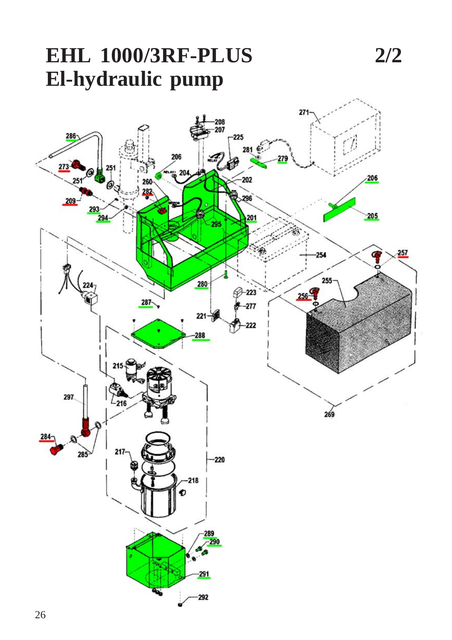